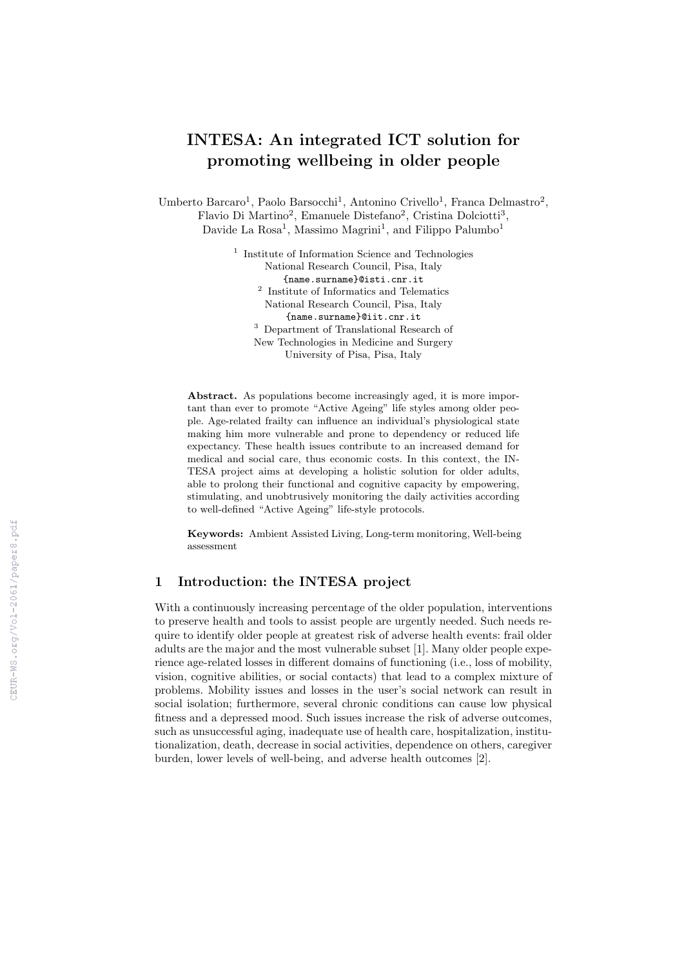# INTESA: An integrated ICT solution for promoting wellbeing in older people

Umberto Barcaro<sup>1</sup>, Paolo Barsocchi<sup>1</sup>, Antonino Crivello<sup>1</sup>, Franca Delmastro<sup>2</sup>, Flavio Di Martino<sup>2</sup>, Emanuele Distefano<sup>2</sup>, Cristina Dolciotti<sup>3</sup>, Davide La Rosa<sup>1</sup>, Massimo Magrini<sup>1</sup>, and Filippo Palumbo<sup>1</sup>

> <sup>1</sup> Institute of Information Science and Technologies National Research Council, Pisa, Italy {name.surname}@isti.cnr.it 2 Institute of Informatics and Telematics National Research Council, Pisa, Italy {name.surname}@iit.cnr.it <sup>3</sup> Department of Translational Research of New Technologies in Medicine and Surgery

> > University of Pisa, Pisa, Italy

Abstract. As populations become increasingly aged, it is more important than ever to promote "Active Ageing" life styles among older people. Age-related frailty can influence an individual's physiological state making him more vulnerable and prone to dependency or reduced life expectancy. These health issues contribute to an increased demand for medical and social care, thus economic costs. In this context, the IN-TESA project aims at developing a holistic solution for older adults, able to prolong their functional and cognitive capacity by empowering, stimulating, and unobtrusively monitoring the daily activities according to well-defined "Active Ageing" life-style protocols.

Keywords: Ambient Assisted Living, Long-term monitoring, Well-being assessment

# 1 Introduction: the INTESA project

With a continuously increasing percentage of the older population, interventions to preserve health and tools to assist people are urgently needed. Such needs require to identify older people at greatest risk of adverse health events: frail older adults are the major and the most vulnerable subset [1]. Many older people experience age-related losses in different domains of functioning (i.e., loss of mobility, vision, cognitive abilities, or social contacts) that lead to a complex mixture of problems. Mobility issues and losses in the user's social network can result in social isolation; furthermore, several chronic conditions can cause low physical fitness and a depressed mood. Such issues increase the risk of adverse outcomes, such as unsuccessful aging, inadequate use of health care, hospitalization, institutionalization, death, decrease in social activities, dependence on others, caregiver burden, lower levels of well-being, and adverse health outcomes [2].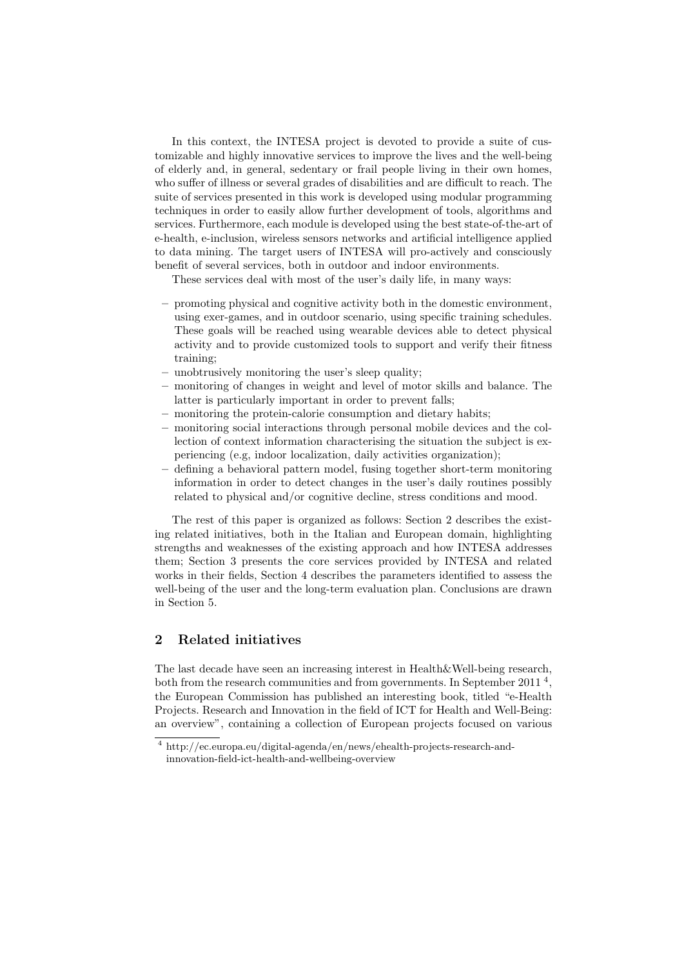In this context, the INTESA project is devoted to provide a suite of customizable and highly innovative services to improve the lives and the well-being of elderly and, in general, sedentary or frail people living in their own homes, who suffer of illness or several grades of disabilities and are difficult to reach. The suite of services presented in this work is developed using modular programming techniques in order to easily allow further development of tools, algorithms and services. Furthermore, each module is developed using the best state-of-the-art of e-health, e-inclusion, wireless sensors networks and artificial intelligence applied to data mining. The target users of INTESA will pro-actively and consciously benefit of several services, both in outdoor and indoor environments.

These services deal with most of the user's daily life, in many ways:

- promoting physical and cognitive activity both in the domestic environment, using exer-games, and in outdoor scenario, using specific training schedules. These goals will be reached using wearable devices able to detect physical activity and to provide customized tools to support and verify their fitness training;
- unobtrusively monitoring the user's sleep quality;
- monitoring of changes in weight and level of motor skills and balance. The latter is particularly important in order to prevent falls;
- monitoring the protein-calorie consumption and dietary habits;
- monitoring social interactions through personal mobile devices and the collection of context information characterising the situation the subject is experiencing (e.g, indoor localization, daily activities organization);
- defining a behavioral pattern model, fusing together short-term monitoring information in order to detect changes in the user's daily routines possibly related to physical and/or cognitive decline, stress conditions and mood.

The rest of this paper is organized as follows: Section 2 describes the existing related initiatives, both in the Italian and European domain, highlighting strengths and weaknesses of the existing approach and how INTESA addresses them; Section 3 presents the core services provided by INTESA and related works in their fields, Section 4 describes the parameters identified to assess the well-being of the user and the long-term evaluation plan. Conclusions are drawn in Section 5.

## 2 Related initiatives

The last decade have seen an increasing interest in Health&Well-being research, both from the research communities and from governments. In September 2011<sup>4</sup>, the European Commission has published an interesting book, titled "e-Health Projects. Research and Innovation in the field of ICT for Health and Well-Being: an overview", containing a collection of European projects focused on various

<sup>4</sup> http://ec.europa.eu/digital-agenda/en/news/ehealth-projects-research-andinnovation-field-ict-health-and-wellbeing-overview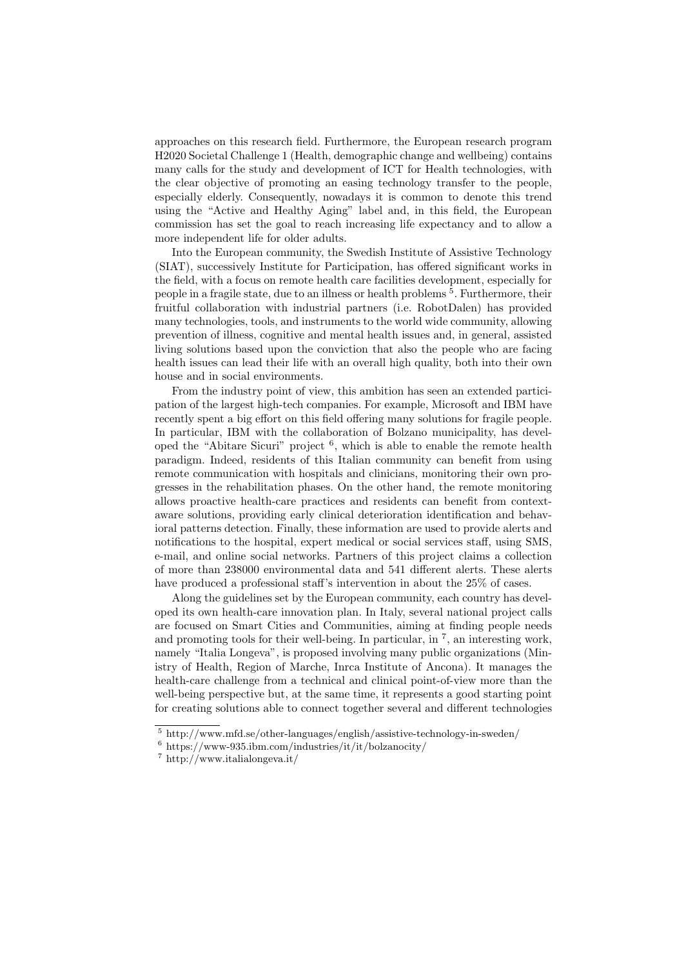approaches on this research field. Furthermore, the European research program H2020 Societal Challenge 1 (Health, demographic change and wellbeing) contains many calls for the study and development of ICT for Health technologies, with the clear objective of promoting an easing technology transfer to the people, especially elderly. Consequently, nowadays it is common to denote this trend using the "Active and Healthy Aging" label and, in this field, the European commission has set the goal to reach increasing life expectancy and to allow a more independent life for older adults.

Into the European community, the Swedish Institute of Assistive Technology (SIAT), successively Institute for Participation, has offered significant works in the field, with a focus on remote health care facilities development, especially for people in a fragile state, due to an illness or health problems <sup>5</sup>. Furthermore, their fruitful collaboration with industrial partners (i.e. RobotDalen) has provided many technologies, tools, and instruments to the world wide community, allowing prevention of illness, cognitive and mental health issues and, in general, assisted living solutions based upon the conviction that also the people who are facing health issues can lead their life with an overall high quality, both into their own house and in social environments.

From the industry point of view, this ambition has seen an extended participation of the largest high-tech companies. For example, Microsoft and IBM have recently spent a big effort on this field offering many solutions for fragile people. In particular, IBM with the collaboration of Bolzano municipality, has developed the "Abitare Sicuri" project <sup>6</sup> , which is able to enable the remote health paradigm. Indeed, residents of this Italian community can benefit from using remote communication with hospitals and clinicians, monitoring their own progresses in the rehabilitation phases. On the other hand, the remote monitoring allows proactive health-care practices and residents can benefit from contextaware solutions, providing early clinical deterioration identification and behavioral patterns detection. Finally, these information are used to provide alerts and notifications to the hospital, expert medical or social services staff, using SMS, e-mail, and online social networks. Partners of this project claims a collection of more than 238000 environmental data and 541 different alerts. These alerts have produced a professional staff's intervention in about the  $25\%$  of cases.

Along the guidelines set by the European community, each country has developed its own health-care innovation plan. In Italy, several national project calls are focused on Smart Cities and Communities, aiming at finding people needs and promoting tools for their well-being. In particular, in  $<sup>7</sup>$ , an interesting work,</sup> namely "Italia Longeva", is proposed involving many public organizations (Ministry of Health, Region of Marche, Inrca Institute of Ancona). It manages the health-care challenge from a technical and clinical point-of-view more than the well-being perspective but, at the same time, it represents a good starting point for creating solutions able to connect together several and different technologies

<sup>5</sup> http://www.mfd.se/other-languages/english/assistive-technology-in-sweden/

 $6$  https://www-935.ibm.com/industries/it/it/bolzanocity/

 $^7$ http://www.italialongeva.it/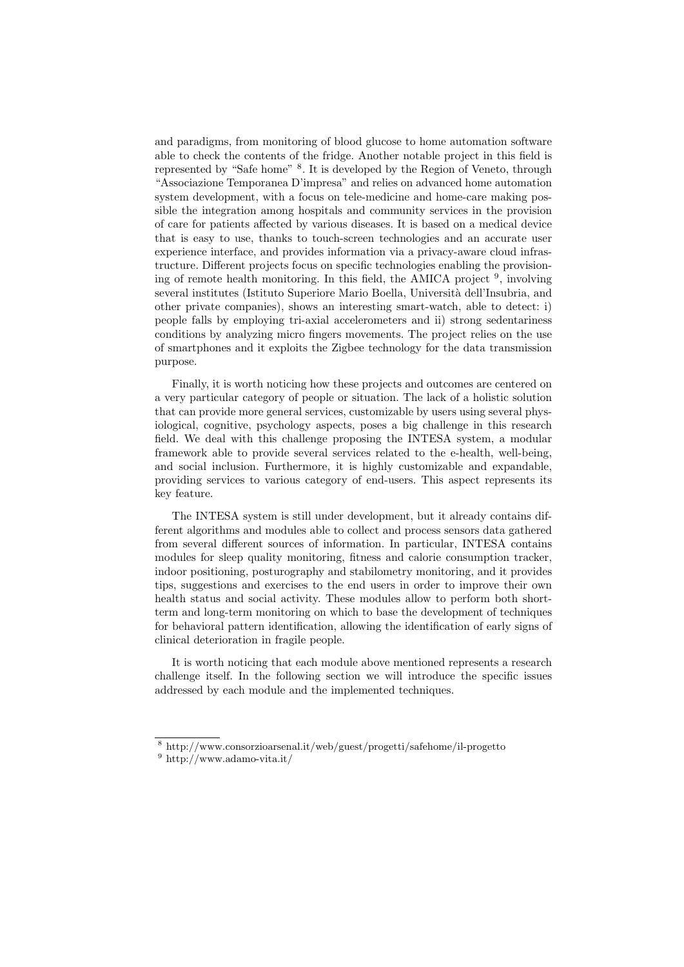and paradigms, from monitoring of blood glucose to home automation software able to check the contents of the fridge. Another notable project in this field is represented by "Safe home" <sup>8</sup>. It is developed by the Region of Veneto, through "Associazione Temporanea D'impresa" and relies on advanced home automation system development, with a focus on tele-medicine and home-care making possible the integration among hospitals and community services in the provision of care for patients affected by various diseases. It is based on a medical device that is easy to use, thanks to touch-screen technologies and an accurate user experience interface, and provides information via a privacy-aware cloud infrastructure. Different projects focus on specific technologies enabling the provisioning of remote health monitoring. In this field, the AMICA project <sup>9</sup>, involving several institutes (Istituto Superiore Mario Boella, Universit`a dell'Insubria, and other private companies), shows an interesting smart-watch, able to detect: i) people falls by employing tri-axial accelerometers and ii) strong sedentariness conditions by analyzing micro fingers movements. The project relies on the use of smartphones and it exploits the Zigbee technology for the data transmission purpose.

Finally, it is worth noticing how these projects and outcomes are centered on a very particular category of people or situation. The lack of a holistic solution that can provide more general services, customizable by users using several physiological, cognitive, psychology aspects, poses a big challenge in this research field. We deal with this challenge proposing the INTESA system, a modular framework able to provide several services related to the e-health, well-being, and social inclusion. Furthermore, it is highly customizable and expandable, providing services to various category of end-users. This aspect represents its key feature.

The INTESA system is still under development, but it already contains different algorithms and modules able to collect and process sensors data gathered from several different sources of information. In particular, INTESA contains modules for sleep quality monitoring, fitness and calorie consumption tracker, indoor positioning, posturography and stabilometry monitoring, and it provides tips, suggestions and exercises to the end users in order to improve their own health status and social activity. These modules allow to perform both shortterm and long-term monitoring on which to base the development of techniques for behavioral pattern identification, allowing the identification of early signs of clinical deterioration in fragile people.

It is worth noticing that each module above mentioned represents a research challenge itself. In the following section we will introduce the specific issues addressed by each module and the implemented techniques.

<sup>8</sup> http://www.consorzioarsenal.it/web/guest/progetti/safehome/il-progetto

 $^9$ http://www.adamo-vita.it/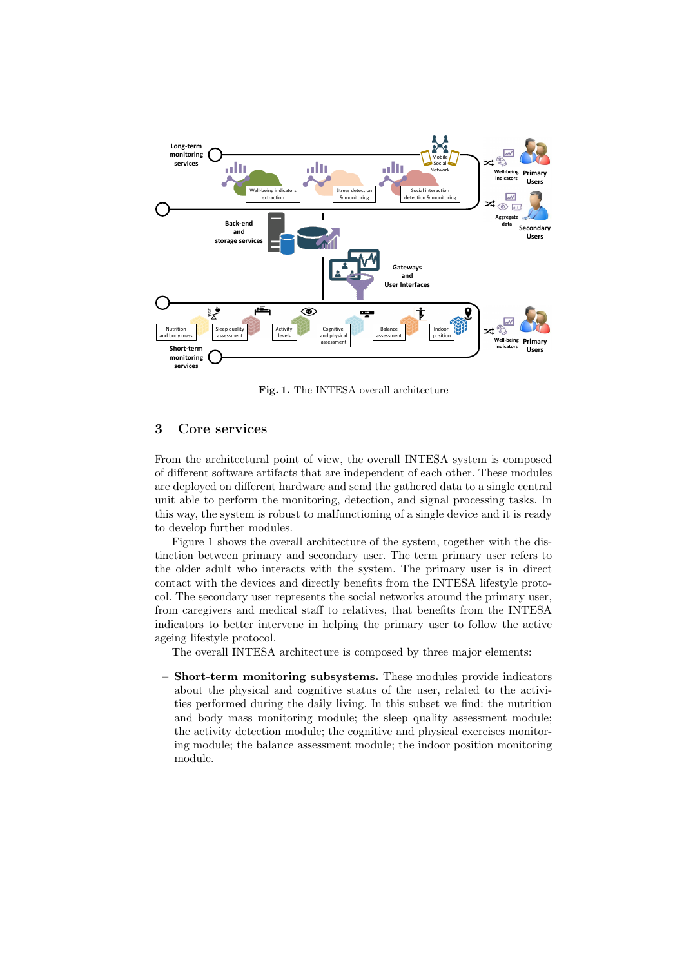

Fig. 1. The INTESA overall architecture

## 3 Core services

From the architectural point of view, the overall INTESA system is composed of different software artifacts that are independent of each other. These modules are deployed on different hardware and send the gathered data to a single central unit able to perform the monitoring, detection, and signal processing tasks. In this way, the system is robust to malfunctioning of a single device and it is ready to develop further modules.

Figure 1 shows the overall architecture of the system, together with the distinction between primary and secondary user. The term primary user refers to the older adult who interacts with the system. The primary user is in direct contact with the devices and directly benefits from the INTESA lifestyle protocol. The secondary user represents the social networks around the primary user, from caregivers and medical staff to relatives, that benefits from the INTESA indicators to better intervene in helping the primary user to follow the active ageing lifestyle protocol.

The overall INTESA architecture is composed by three major elements:

– Short-term monitoring subsystems. These modules provide indicators about the physical and cognitive status of the user, related to the activities performed during the daily living. In this subset we find: the nutrition and body mass monitoring module; the sleep quality assessment module; the activity detection module; the cognitive and physical exercises monitoring module; the balance assessment module; the indoor position monitoring module.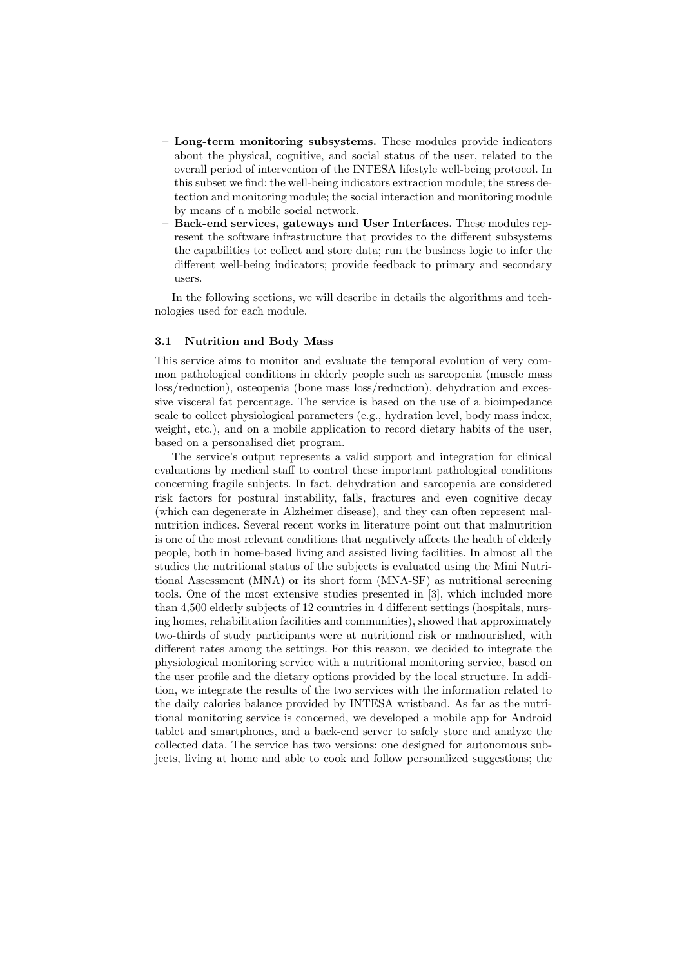- Long-term monitoring subsystems. These modules provide indicators about the physical, cognitive, and social status of the user, related to the overall period of intervention of the INTESA lifestyle well-being protocol. In this subset we find: the well-being indicators extraction module; the stress detection and monitoring module; the social interaction and monitoring module by means of a mobile social network.
- Back-end services, gateways and User Interfaces. These modules represent the software infrastructure that provides to the different subsystems the capabilities to: collect and store data; run the business logic to infer the different well-being indicators; provide feedback to primary and secondary users.

In the following sections, we will describe in details the algorithms and technologies used for each module.

#### 3.1 Nutrition and Body Mass

This service aims to monitor and evaluate the temporal evolution of very common pathological conditions in elderly people such as sarcopenia (muscle mass loss/reduction), osteopenia (bone mass loss/reduction), dehydration and excessive visceral fat percentage. The service is based on the use of a bioimpedance scale to collect physiological parameters (e.g., hydration level, body mass index, weight, etc.), and on a mobile application to record dietary habits of the user, based on a personalised diet program.

The service's output represents a valid support and integration for clinical evaluations by medical staff to control these important pathological conditions concerning fragile subjects. In fact, dehydration and sarcopenia are considered risk factors for postural instability, falls, fractures and even cognitive decay (which can degenerate in Alzheimer disease), and they can often represent malnutrition indices. Several recent works in literature point out that malnutrition is one of the most relevant conditions that negatively affects the health of elderly people, both in home-based living and assisted living facilities. In almost all the studies the nutritional status of the subjects is evaluated using the Mini Nutritional Assessment (MNA) or its short form (MNA-SF) as nutritional screening tools. One of the most extensive studies presented in [3], which included more than 4,500 elderly subjects of 12 countries in 4 different settings (hospitals, nursing homes, rehabilitation facilities and communities), showed that approximately two-thirds of study participants were at nutritional risk or malnourished, with different rates among the settings. For this reason, we decided to integrate the physiological monitoring service with a nutritional monitoring service, based on the user profile and the dietary options provided by the local structure. In addition, we integrate the results of the two services with the information related to the daily calories balance provided by INTESA wristband. As far as the nutritional monitoring service is concerned, we developed a mobile app for Android tablet and smartphones, and a back-end server to safely store and analyze the collected data. The service has two versions: one designed for autonomous subjects, living at home and able to cook and follow personalized suggestions; the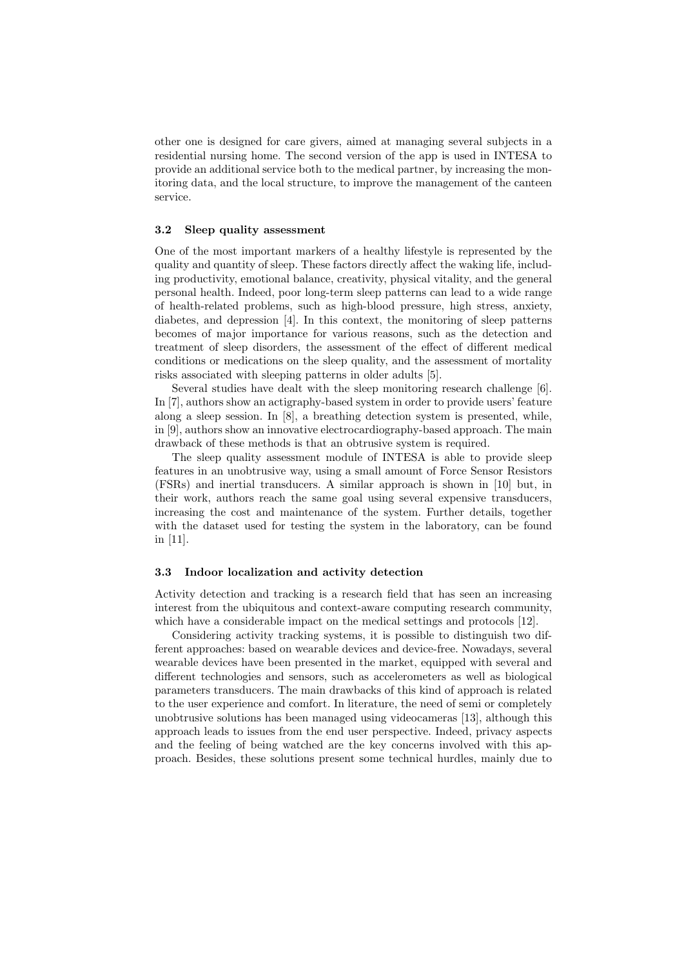other one is designed for care givers, aimed at managing several subjects in a residential nursing home. The second version of the app is used in INTESA to provide an additional service both to the medical partner, by increasing the monitoring data, and the local structure, to improve the management of the canteen service.

#### 3.2 Sleep quality assessment

One of the most important markers of a healthy lifestyle is represented by the quality and quantity of sleep. These factors directly affect the waking life, including productivity, emotional balance, creativity, physical vitality, and the general personal health. Indeed, poor long-term sleep patterns can lead to a wide range of health-related problems, such as high-blood pressure, high stress, anxiety, diabetes, and depression [4]. In this context, the monitoring of sleep patterns becomes of major importance for various reasons, such as the detection and treatment of sleep disorders, the assessment of the effect of different medical conditions or medications on the sleep quality, and the assessment of mortality risks associated with sleeping patterns in older adults [5].

Several studies have dealt with the sleep monitoring research challenge [6]. In [7], authors show an actigraphy-based system in order to provide users' feature along a sleep session. In [8], a breathing detection system is presented, while, in [9], authors show an innovative electrocardiography-based approach. The main drawback of these methods is that an obtrusive system is required.

The sleep quality assessment module of INTESA is able to provide sleep features in an unobtrusive way, using a small amount of Force Sensor Resistors (FSRs) and inertial transducers. A similar approach is shown in [10] but, in their work, authors reach the same goal using several expensive transducers, increasing the cost and maintenance of the system. Further details, together with the dataset used for testing the system in the laboratory, can be found in [11].

#### 3.3 Indoor localization and activity detection

Activity detection and tracking is a research field that has seen an increasing interest from the ubiquitous and context-aware computing research community, which have a considerable impact on the medical settings and protocols [12].

Considering activity tracking systems, it is possible to distinguish two different approaches: based on wearable devices and device-free. Nowadays, several wearable devices have been presented in the market, equipped with several and different technologies and sensors, such as accelerometers as well as biological parameters transducers. The main drawbacks of this kind of approach is related to the user experience and comfort. In literature, the need of semi or completely unobtrusive solutions has been managed using videocameras [13], although this approach leads to issues from the end user perspective. Indeed, privacy aspects and the feeling of being watched are the key concerns involved with this approach. Besides, these solutions present some technical hurdles, mainly due to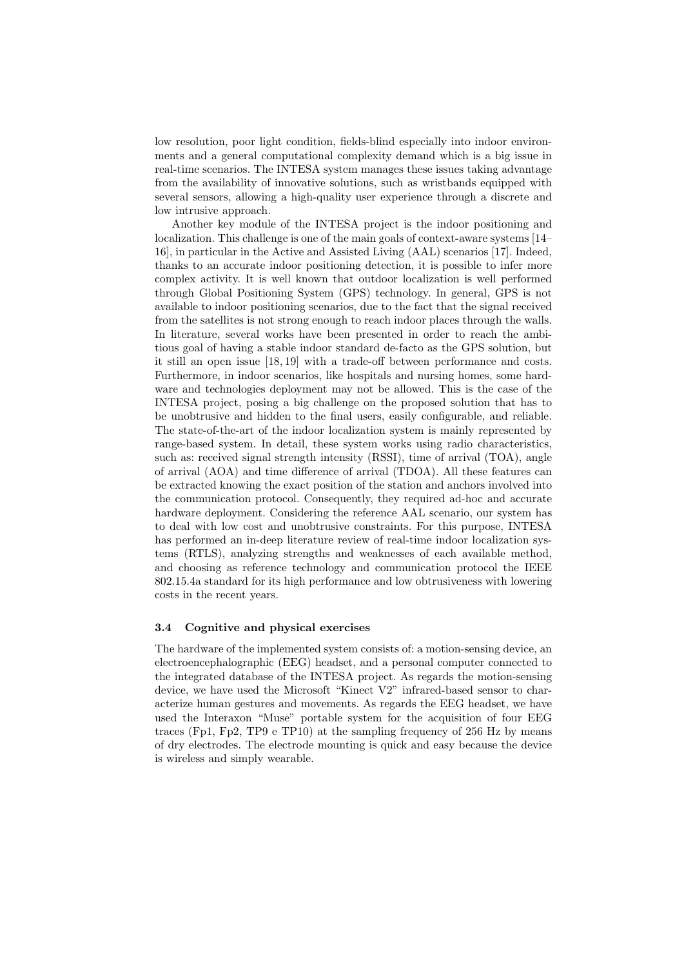low resolution, poor light condition, fields-blind especially into indoor environments and a general computational complexity demand which is a big issue in real-time scenarios. The INTESA system manages these issues taking advantage from the availability of innovative solutions, such as wristbands equipped with several sensors, allowing a high-quality user experience through a discrete and low intrusive approach.

Another key module of the INTESA project is the indoor positioning and localization. This challenge is one of the main goals of context-aware systems [14– 16], in particular in the Active and Assisted Living (AAL) scenarios [17]. Indeed, thanks to an accurate indoor positioning detection, it is possible to infer more complex activity. It is well known that outdoor localization is well performed through Global Positioning System (GPS) technology. In general, GPS is not available to indoor positioning scenarios, due to the fact that the signal received from the satellites is not strong enough to reach indoor places through the walls. In literature, several works have been presented in order to reach the ambitious goal of having a stable indoor standard de-facto as the GPS solution, but it still an open issue [18, 19] with a trade-off between performance and costs. Furthermore, in indoor scenarios, like hospitals and nursing homes, some hardware and technologies deployment may not be allowed. This is the case of the INTESA project, posing a big challenge on the proposed solution that has to be unobtrusive and hidden to the final users, easily configurable, and reliable. The state-of-the-art of the indoor localization system is mainly represented by range-based system. In detail, these system works using radio characteristics, such as: received signal strength intensity (RSSI), time of arrival (TOA), angle of arrival (AOA) and time difference of arrival (TDOA). All these features can be extracted knowing the exact position of the station and anchors involved into the communication protocol. Consequently, they required ad-hoc and accurate hardware deployment. Considering the reference AAL scenario, our system has to deal with low cost and unobtrusive constraints. For this purpose, INTESA has performed an in-deep literature review of real-time indoor localization systems (RTLS), analyzing strengths and weaknesses of each available method, and choosing as reference technology and communication protocol the IEEE 802.15.4a standard for its high performance and low obtrusiveness with lowering costs in the recent years.

### 3.4 Cognitive and physical exercises

The hardware of the implemented system consists of: a motion-sensing device, an electroencephalographic (EEG) headset, and a personal computer connected to the integrated database of the INTESA project. As regards the motion-sensing device, we have used the Microsoft "Kinect V2" infrared-based sensor to characterize human gestures and movements. As regards the EEG headset, we have used the Interaxon "Muse" portable system for the acquisition of four EEG traces (Fp1, Fp2, TP9 e TP10) at the sampling frequency of 256 Hz by means of dry electrodes. The electrode mounting is quick and easy because the device is wireless and simply wearable.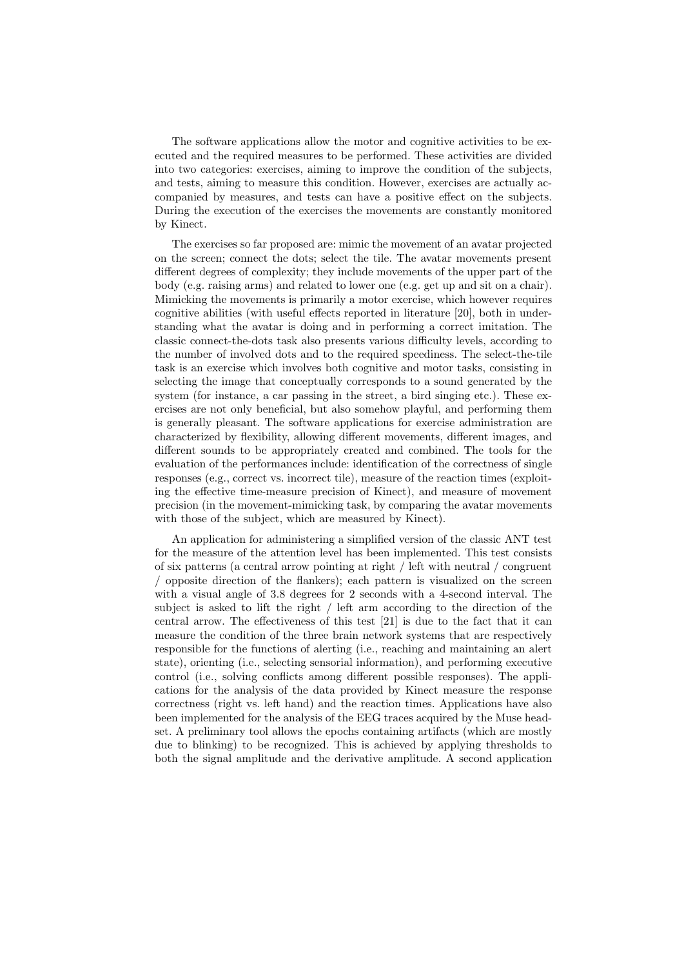The software applications allow the motor and cognitive activities to be executed and the required measures to be performed. These activities are divided into two categories: exercises, aiming to improve the condition of the subjects, and tests, aiming to measure this condition. However, exercises are actually accompanied by measures, and tests can have a positive effect on the subjects. During the execution of the exercises the movements are constantly monitored by Kinect.

The exercises so far proposed are: mimic the movement of an avatar projected on the screen; connect the dots; select the tile. The avatar movements present different degrees of complexity; they include movements of the upper part of the body (e.g. raising arms) and related to lower one (e.g. get up and sit on a chair). Mimicking the movements is primarily a motor exercise, which however requires cognitive abilities (with useful effects reported in literature [20], both in understanding what the avatar is doing and in performing a correct imitation. The classic connect-the-dots task also presents various difficulty levels, according to the number of involved dots and to the required speediness. The select-the-tile task is an exercise which involves both cognitive and motor tasks, consisting in selecting the image that conceptually corresponds to a sound generated by the system (for instance, a car passing in the street, a bird singing etc.). These exercises are not only beneficial, but also somehow playful, and performing them is generally pleasant. The software applications for exercise administration are characterized by flexibility, allowing different movements, different images, and different sounds to be appropriately created and combined. The tools for the evaluation of the performances include: identification of the correctness of single responses (e.g., correct vs. incorrect tile), measure of the reaction times (exploiting the effective time-measure precision of Kinect), and measure of movement precision (in the movement-mimicking task, by comparing the avatar movements with those of the subject, which are measured by Kinect).

An application for administering a simplified version of the classic ANT test for the measure of the attention level has been implemented. This test consists of six patterns (a central arrow pointing at right / left with neutral / congruent / opposite direction of the flankers); each pattern is visualized on the screen with a visual angle of 3.8 degrees for 2 seconds with a 4-second interval. The subject is asked to lift the right / left arm according to the direction of the central arrow. The effectiveness of this test [21] is due to the fact that it can measure the condition of the three brain network systems that are respectively responsible for the functions of alerting (i.e., reaching and maintaining an alert state), orienting (i.e., selecting sensorial information), and performing executive control (i.e., solving conflicts among different possible responses). The applications for the analysis of the data provided by Kinect measure the response correctness (right vs. left hand) and the reaction times. Applications have also been implemented for the analysis of the EEG traces acquired by the Muse headset. A preliminary tool allows the epochs containing artifacts (which are mostly due to blinking) to be recognized. This is achieved by applying thresholds to both the signal amplitude and the derivative amplitude. A second application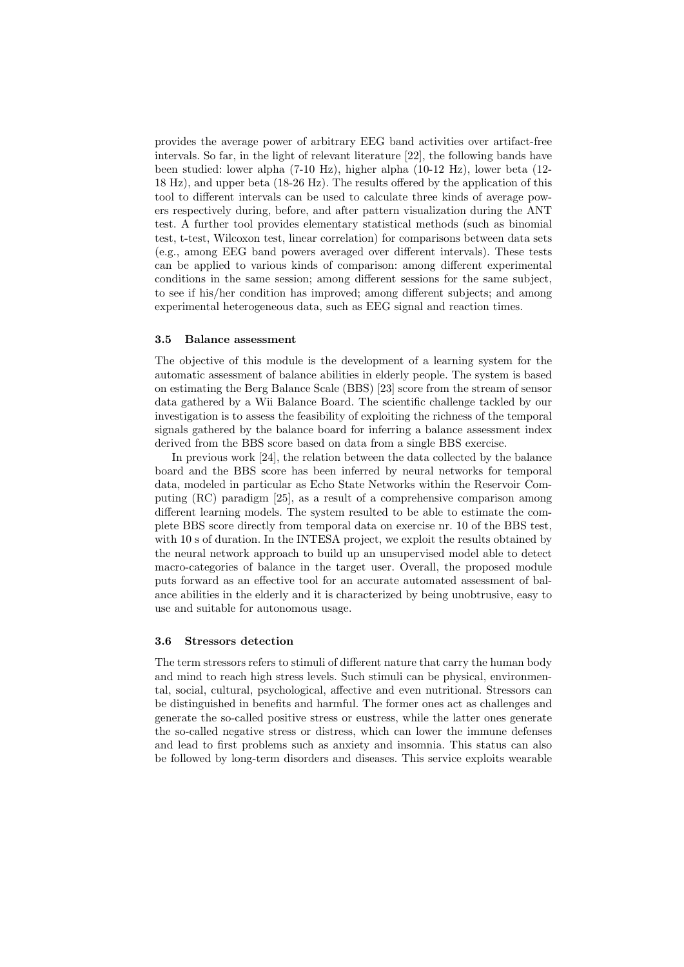provides the average power of arbitrary EEG band activities over artifact-free intervals. So far, in the light of relevant literature [22], the following bands have been studied: lower alpha (7-10 Hz), higher alpha (10-12 Hz), lower beta (12- 18 Hz), and upper beta (18-26 Hz). The results offered by the application of this tool to different intervals can be used to calculate three kinds of average powers respectively during, before, and after pattern visualization during the ANT test. A further tool provides elementary statistical methods (such as binomial test, t-test, Wilcoxon test, linear correlation) for comparisons between data sets (e.g., among EEG band powers averaged over different intervals). These tests can be applied to various kinds of comparison: among different experimental conditions in the same session; among different sessions for the same subject, to see if his/her condition has improved; among different subjects; and among experimental heterogeneous data, such as EEG signal and reaction times.

#### 3.5 Balance assessment

The objective of this module is the development of a learning system for the automatic assessment of balance abilities in elderly people. The system is based on estimating the Berg Balance Scale (BBS) [23] score from the stream of sensor data gathered by a Wii Balance Board. The scientific challenge tackled by our investigation is to assess the feasibility of exploiting the richness of the temporal signals gathered by the balance board for inferring a balance assessment index derived from the BBS score based on data from a single BBS exercise.

In previous work [24], the relation between the data collected by the balance board and the BBS score has been inferred by neural networks for temporal data, modeled in particular as Echo State Networks within the Reservoir Computing (RC) paradigm [25], as a result of a comprehensive comparison among different learning models. The system resulted to be able to estimate the complete BBS score directly from temporal data on exercise nr. 10 of the BBS test, with 10 s of duration. In the INTESA project, we exploit the results obtained by the neural network approach to build up an unsupervised model able to detect macro-categories of balance in the target user. Overall, the proposed module puts forward as an effective tool for an accurate automated assessment of balance abilities in the elderly and it is characterized by being unobtrusive, easy to use and suitable for autonomous usage.

#### 3.6 Stressors detection

The term stressors refers to stimuli of different nature that carry the human body and mind to reach high stress levels. Such stimuli can be physical, environmental, social, cultural, psychological, affective and even nutritional. Stressors can be distinguished in benefits and harmful. The former ones act as challenges and generate the so-called positive stress or eustress, while the latter ones generate the so-called negative stress or distress, which can lower the immune defenses and lead to first problems such as anxiety and insomnia. This status can also be followed by long-term disorders and diseases. This service exploits wearable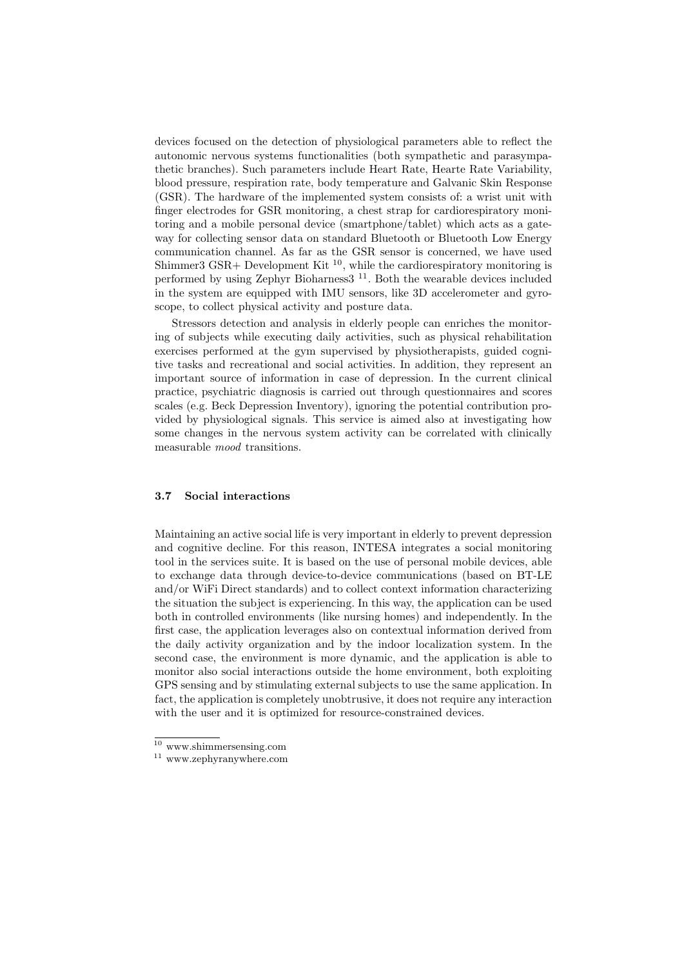devices focused on the detection of physiological parameters able to reflect the autonomic nervous systems functionalities (both sympathetic and parasympathetic branches). Such parameters include Heart Rate, Hearte Rate Variability, blood pressure, respiration rate, body temperature and Galvanic Skin Response (GSR). The hardware of the implemented system consists of: a wrist unit with finger electrodes for GSR monitoring, a chest strap for cardiorespiratory monitoring and a mobile personal device (smartphone/tablet) which acts as a gateway for collecting sensor data on standard Bluetooth or Bluetooth Low Energy communication channel. As far as the GSR sensor is concerned, we have used Shimmer3 GSR+ Development Kit  $^{10}$ , while the cardiorespiratory monitoring is performed by using Zephyr Bioharness3 <sup>11</sup>. Both the wearable devices included in the system are equipped with IMU sensors, like 3D accelerometer and gyroscope, to collect physical activity and posture data.

Stressors detection and analysis in elderly people can enriches the monitoring of subjects while executing daily activities, such as physical rehabilitation exercises performed at the gym supervised by physiotherapists, guided cognitive tasks and recreational and social activities. In addition, they represent an important source of information in case of depression. In the current clinical practice, psychiatric diagnosis is carried out through questionnaires and scores scales (e.g. Beck Depression Inventory), ignoring the potential contribution provided by physiological signals. This service is aimed also at investigating how some changes in the nervous system activity can be correlated with clinically measurable mood transitions.

#### 3.7 Social interactions

Maintaining an active social life is very important in elderly to prevent depression and cognitive decline. For this reason, INTESA integrates a social monitoring tool in the services suite. It is based on the use of personal mobile devices, able to exchange data through device-to-device communications (based on BT-LE and/or WiFi Direct standards) and to collect context information characterizing the situation the subject is experiencing. In this way, the application can be used both in controlled environments (like nursing homes) and independently. In the first case, the application leverages also on contextual information derived from the daily activity organization and by the indoor localization system. In the second case, the environment is more dynamic, and the application is able to monitor also social interactions outside the home environment, both exploiting GPS sensing and by stimulating external subjects to use the same application. In fact, the application is completely unobtrusive, it does not require any interaction with the user and it is optimized for resource-constrained devices.

 $10$  www.shimmersensing.com

 $^\mathrm{11}$ www.zephyranywhere.com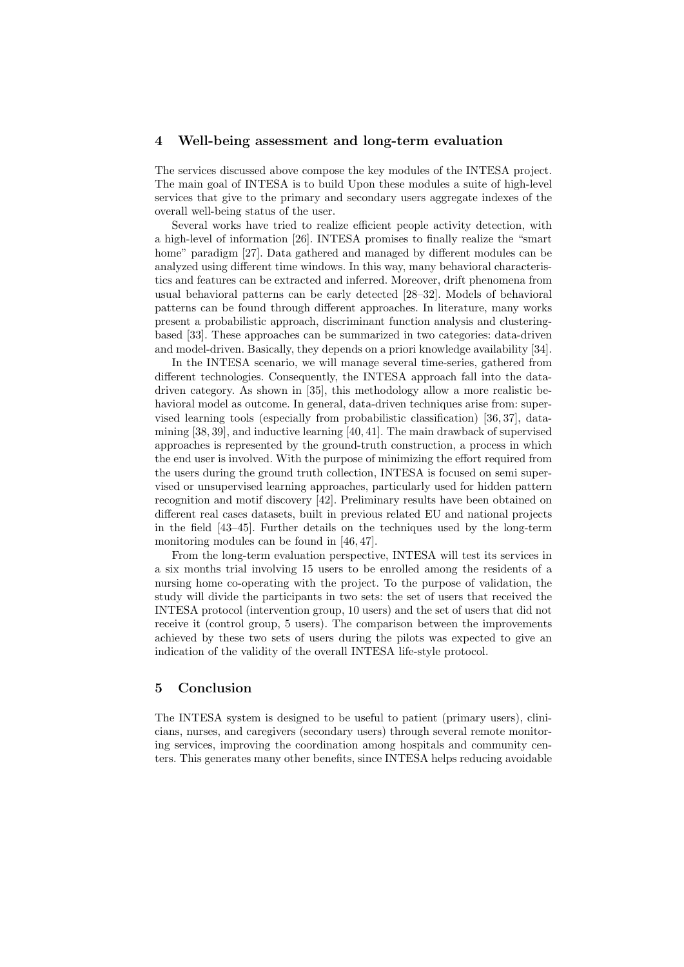### 4 Well-being assessment and long-term evaluation

The services discussed above compose the key modules of the INTESA project. The main goal of INTESA is to build Upon these modules a suite of high-level services that give to the primary and secondary users aggregate indexes of the overall well-being status of the user.

Several works have tried to realize efficient people activity detection, with a high-level of information [26]. INTESA promises to finally realize the "smart home" paradigm [27]. Data gathered and managed by different modules can be analyzed using different time windows. In this way, many behavioral characteristics and features can be extracted and inferred. Moreover, drift phenomena from usual behavioral patterns can be early detected [28–32]. Models of behavioral patterns can be found through different approaches. In literature, many works present a probabilistic approach, discriminant function analysis and clusteringbased [33]. These approaches can be summarized in two categories: data-driven and model-driven. Basically, they depends on a priori knowledge availability [34].

In the INTESA scenario, we will manage several time-series, gathered from different technologies. Consequently, the INTESA approach fall into the datadriven category. As shown in [35], this methodology allow a more realistic behavioral model as outcome. In general, data-driven techniques arise from: supervised learning tools (especially from probabilistic classification) [36, 37], datamining [38, 39], and inductive learning [40, 41]. The main drawback of supervised approaches is represented by the ground-truth construction, a process in which the end user is involved. With the purpose of minimizing the effort required from the users during the ground truth collection, INTESA is focused on semi supervised or unsupervised learning approaches, particularly used for hidden pattern recognition and motif discovery [42]. Preliminary results have been obtained on different real cases datasets, built in previous related EU and national projects in the field [43–45]. Further details on the techniques used by the long-term monitoring modules can be found in [46, 47].

From the long-term evaluation perspective, INTESA will test its services in a six months trial involving 15 users to be enrolled among the residents of a nursing home co-operating with the project. To the purpose of validation, the study will divide the participants in two sets: the set of users that received the INTESA protocol (intervention group, 10 users) and the set of users that did not receive it (control group, 5 users). The comparison between the improvements achieved by these two sets of users during the pilots was expected to give an indication of the validity of the overall INTESA life-style protocol.

## 5 Conclusion

The INTESA system is designed to be useful to patient (primary users), clinicians, nurses, and caregivers (secondary users) through several remote monitoring services, improving the coordination among hospitals and community centers. This generates many other benefits, since INTESA helps reducing avoidable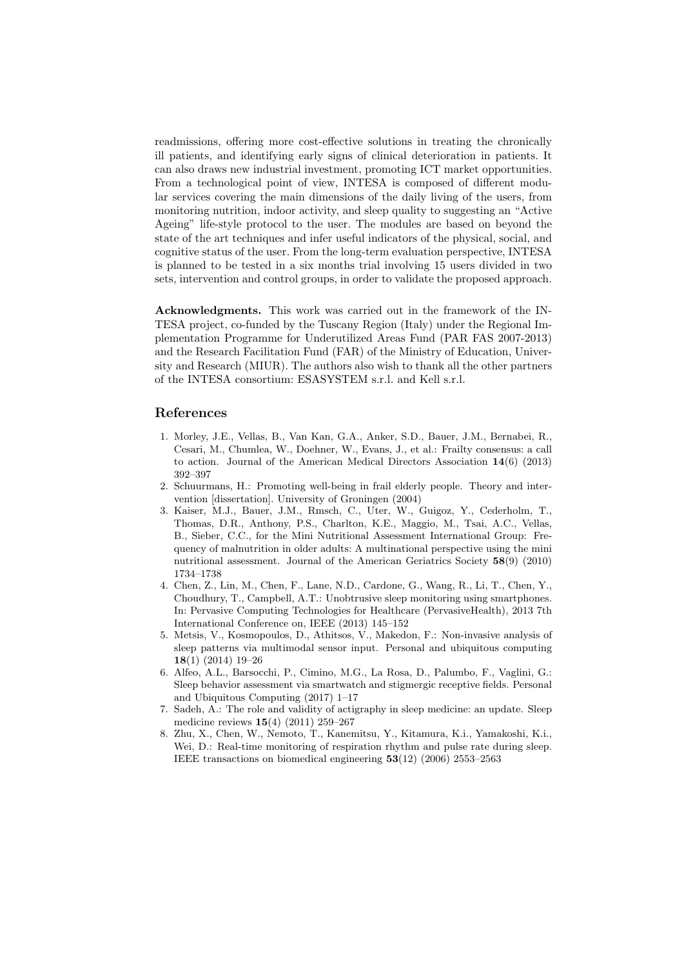readmissions, offering more cost-effective solutions in treating the chronically ill patients, and identifying early signs of clinical deterioration in patients. It can also draws new industrial investment, promoting ICT market opportunities. From a technological point of view, INTESA is composed of different modular services covering the main dimensions of the daily living of the users, from monitoring nutrition, indoor activity, and sleep quality to suggesting an "Active Ageing" life-style protocol to the user. The modules are based on beyond the state of the art techniques and infer useful indicators of the physical, social, and cognitive status of the user. From the long-term evaluation perspective, INTESA is planned to be tested in a six months trial involving 15 users divided in two sets, intervention and control groups, in order to validate the proposed approach.

Acknowledgments. This work was carried out in the framework of the IN-TESA project, co-funded by the Tuscany Region (Italy) under the Regional Implementation Programme for Underutilized Areas Fund (PAR FAS 2007-2013) and the Research Facilitation Fund (FAR) of the Ministry of Education, University and Research (MIUR). The authors also wish to thank all the other partners of the INTESA consortium: ESASYSTEM s.r.l. and Kell s.r.l.

## References

- 1. Morley, J.E., Vellas, B., Van Kan, G.A., Anker, S.D., Bauer, J.M., Bernabei, R., Cesari, M., Chumlea, W., Doehner, W., Evans, J., et al.: Frailty consensus: a call to action. Journal of the American Medical Directors Association 14(6) (2013) 392–397
- 2. Schuurmans, H.: Promoting well-being in frail elderly people. Theory and intervention [dissertation]. University of Groningen (2004)
- 3. Kaiser, M.J., Bauer, J.M., Rmsch, C., Uter, W., Guigoz, Y., Cederholm, T., Thomas, D.R., Anthony, P.S., Charlton, K.E., Maggio, M., Tsai, A.C., Vellas, B., Sieber, C.C., for the Mini Nutritional Assessment International Group: Frequency of malnutrition in older adults: A multinational perspective using the mini nutritional assessment. Journal of the American Geriatrics Society 58(9) (2010) 1734–1738
- 4. Chen, Z., Lin, M., Chen, F., Lane, N.D., Cardone, G., Wang, R., Li, T., Chen, Y., Choudhury, T., Campbell, A.T.: Unobtrusive sleep monitoring using smartphones. In: Pervasive Computing Technologies for Healthcare (PervasiveHealth), 2013 7th International Conference on, IEEE (2013) 145–152
- 5. Metsis, V., Kosmopoulos, D., Athitsos, V., Makedon, F.: Non-invasive analysis of sleep patterns via multimodal sensor input. Personal and ubiquitous computing 18(1) (2014) 19–26
- 6. Alfeo, A.L., Barsocchi, P., Cimino, M.G., La Rosa, D., Palumbo, F., Vaglini, G.: Sleep behavior assessment via smartwatch and stigmergic receptive fields. Personal and Ubiquitous Computing (2017) 1–17
- 7. Sadeh, A.: The role and validity of actigraphy in sleep medicine: an update. Sleep medicine reviews 15(4) (2011) 259–267
- 8. Zhu, X., Chen, W., Nemoto, T., Kanemitsu, Y., Kitamura, K.i., Yamakoshi, K.i., Wei, D.: Real-time monitoring of respiration rhythm and pulse rate during sleep. IEEE transactions on biomedical engineering 53(12) (2006) 2553–2563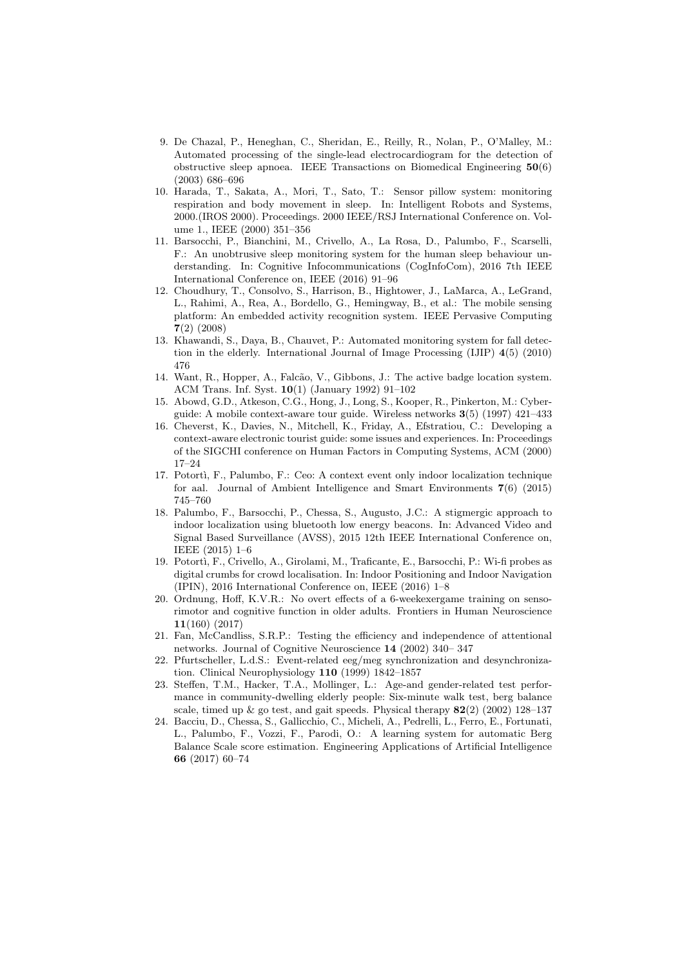- 9. De Chazal, P., Heneghan, C., Sheridan, E., Reilly, R., Nolan, P., O'Malley, M.: Automated processing of the single-lead electrocardiogram for the detection of obstructive sleep apnoea. IEEE Transactions on Biomedical Engineering 50(6) (2003) 686–696
- 10. Harada, T., Sakata, A., Mori, T., Sato, T.: Sensor pillow system: monitoring respiration and body movement in sleep. In: Intelligent Robots and Systems, 2000.(IROS 2000). Proceedings. 2000 IEEE/RSJ International Conference on. Volume 1., IEEE (2000) 351–356
- 11. Barsocchi, P., Bianchini, M., Crivello, A., La Rosa, D., Palumbo, F., Scarselli, F.: An unobtrusive sleep monitoring system for the human sleep behaviour understanding. In: Cognitive Infocommunications (CogInfoCom), 2016 7th IEEE International Conference on, IEEE (2016) 91–96
- 12. Choudhury, T., Consolvo, S., Harrison, B., Hightower, J., LaMarca, A., LeGrand, L., Rahimi, A., Rea, A., Bordello, G., Hemingway, B., et al.: The mobile sensing platform: An embedded activity recognition system. IEEE Pervasive Computing 7(2) (2008)
- 13. Khawandi, S., Daya, B., Chauvet, P.: Automated monitoring system for fall detection in the elderly. International Journal of Image Processing (IJIP) 4(5) (2010) 476
- 14. Want, R., Hopper, A., Falcão, V., Gibbons, J.: The active badge location system. ACM Trans. Inf. Syst. 10(1) (January 1992) 91–102
- 15. Abowd, G.D., Atkeson, C.G., Hong, J., Long, S., Kooper, R., Pinkerton, M.: Cyberguide: A mobile context-aware tour guide. Wireless networks 3(5) (1997) 421–433
- 16. Cheverst, K., Davies, N., Mitchell, K., Friday, A., Efstratiou, C.: Developing a context-aware electronic tourist guide: some issues and experiences. In: Proceedings of the SIGCHI conference on Human Factors in Computing Systems, ACM (2000) 17–24
- 17. Potort`ı, F., Palumbo, F.: Ceo: A context event only indoor localization technique for aal. Journal of Ambient Intelligence and Smart Environments 7(6) (2015) 745–760
- 18. Palumbo, F., Barsocchi, P., Chessa, S., Augusto, J.C.: A stigmergic approach to indoor localization using bluetooth low energy beacons. In: Advanced Video and Signal Based Surveillance (AVSS), 2015 12th IEEE International Conference on, IEEE (2015) 1–6
- 19. Potort`ı, F., Crivello, A., Girolami, M., Traficante, E., Barsocchi, P.: Wi-fi probes as digital crumbs for crowd localisation. In: Indoor Positioning and Indoor Navigation (IPIN), 2016 International Conference on, IEEE (2016) 1–8
- 20. Ordnung, Hoff, K.V.R.: No overt effects of a 6-weekexergame training on sensorimotor and cognitive function in older adults. Frontiers in Human Neuroscience 11(160) (2017)
- 21. Fan, McCandliss, S.R.P.: Testing the efficiency and independence of attentional networks. Journal of Cognitive Neuroscience 14 (2002) 340– 347
- 22. Pfurtscheller, L.d.S.: Event-related eeg/meg synchronization and desynchronization. Clinical Neurophysiology 110 (1999) 1842–1857
- 23. Steffen, T.M., Hacker, T.A., Mollinger, L.: Age-and gender-related test performance in community-dwelling elderly people: Six-minute walk test, berg balance scale, timed up  $\&$  go test, and gait speeds. Physical therapy  $82(2)$  (2002) 128–137
- 24. Bacciu, D., Chessa, S., Gallicchio, C., Micheli, A., Pedrelli, L., Ferro, E., Fortunati, L., Palumbo, F., Vozzi, F., Parodi, O.: A learning system for automatic Berg Balance Scale score estimation. Engineering Applications of Artificial Intelligence 66 (2017) 60–74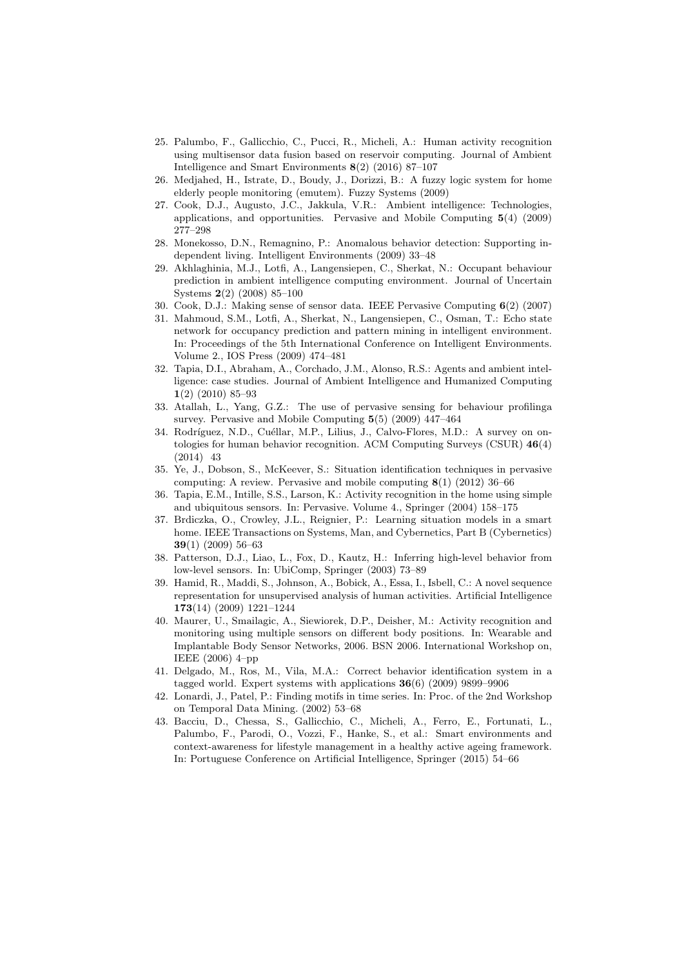- 25. Palumbo, F., Gallicchio, C., Pucci, R., Micheli, A.: Human activity recognition using multisensor data fusion based on reservoir computing. Journal of Ambient Intelligence and Smart Environments 8(2) (2016) 87–107
- 26. Medjahed, H., Istrate, D., Boudy, J., Dorizzi, B.: A fuzzy logic system for home elderly people monitoring (emutem). Fuzzy Systems (2009)
- 27. Cook, D.J., Augusto, J.C., Jakkula, V.R.: Ambient intelligence: Technologies, applications, and opportunities. Pervasive and Mobile Computing 5(4) (2009) 277–298
- 28. Monekosso, D.N., Remagnino, P.: Anomalous behavior detection: Supporting independent living. Intelligent Environments (2009) 33–48
- 29. Akhlaghinia, M.J., Lotfi, A., Langensiepen, C., Sherkat, N.: Occupant behaviour prediction in ambient intelligence computing environment. Journal of Uncertain Systems 2(2) (2008) 85–100
- 30. Cook, D.J.: Making sense of sensor data. IEEE Pervasive Computing 6(2) (2007)
- 31. Mahmoud, S.M., Lotfi, A., Sherkat, N., Langensiepen, C., Osman, T.: Echo state network for occupancy prediction and pattern mining in intelligent environment. In: Proceedings of the 5th International Conference on Intelligent Environments. Volume 2., IOS Press (2009) 474–481
- 32. Tapia, D.I., Abraham, A., Corchado, J.M., Alonso, R.S.: Agents and ambient intelligence: case studies. Journal of Ambient Intelligence and Humanized Computing 1(2) (2010) 85–93
- 33. Atallah, L., Yang, G.Z.: The use of pervasive sensing for behaviour profilinga survey. Pervasive and Mobile Computing 5(5) (2009) 447–464
- 34. Rodríguez, N.D., Cuéllar, M.P., Lilius, J., Calvo-Flores, M.D.: A survey on ontologies for human behavior recognition. ACM Computing Surveys (CSUR) 46(4) (2014) 43
- 35. Ye, J., Dobson, S., McKeever, S.: Situation identification techniques in pervasive computing: A review. Pervasive and mobile computing  $8(1)$  (2012) 36–66
- 36. Tapia, E.M., Intille, S.S., Larson, K.: Activity recognition in the home using simple and ubiquitous sensors. In: Pervasive. Volume 4., Springer (2004) 158–175
- 37. Brdiczka, O., Crowley, J.L., Reignier, P.: Learning situation models in a smart home. IEEE Transactions on Systems, Man, and Cybernetics, Part B (Cybernetics) 39(1) (2009) 56–63
- 38. Patterson, D.J., Liao, L., Fox, D., Kautz, H.: Inferring high-level behavior from low-level sensors. In: UbiComp, Springer (2003) 73–89
- 39. Hamid, R., Maddi, S., Johnson, A., Bobick, A., Essa, I., Isbell, C.: A novel sequence representation for unsupervised analysis of human activities. Artificial Intelligence 173(14) (2009) 1221–1244
- 40. Maurer, U., Smailagic, A., Siewiorek, D.P., Deisher, M.: Activity recognition and monitoring using multiple sensors on different body positions. In: Wearable and Implantable Body Sensor Networks, 2006. BSN 2006. International Workshop on, IEEE (2006) 4–pp
- 41. Delgado, M., Ros, M., Vila, M.A.: Correct behavior identification system in a tagged world. Expert systems with applications  $36(6)$  (2009) 9899–9906
- 42. Lonardi, J., Patel, P.: Finding motifs in time series. In: Proc. of the 2nd Workshop on Temporal Data Mining. (2002) 53–68
- 43. Bacciu, D., Chessa, S., Gallicchio, C., Micheli, A., Ferro, E., Fortunati, L., Palumbo, F., Parodi, O., Vozzi, F., Hanke, S., et al.: Smart environments and context-awareness for lifestyle management in a healthy active ageing framework. In: Portuguese Conference on Artificial Intelligence, Springer (2015) 54–66